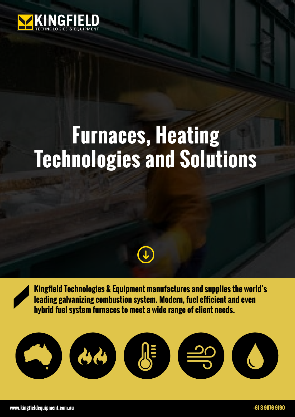

# **Furnaces, Heating Technologies and Solutions**



**Kingfield Technologies & Equipment manufactures and supplies the world's leading galvanizing combustion system. Modern, fuel efficient and even hybrid fuel system furnaces to meet a wide range of client needs.**

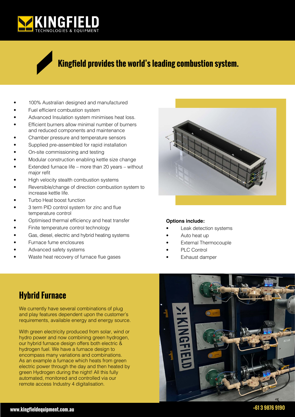

#### **Kingfield provides the world's leading combustion system.**

- 100% Australian designed and manufactured
- Fuel efficient combustion system
- Advanced Insulation system minimises heat loss.
- Efficient burners allow minimal number of burners and reduced components and maintenance
- Chamber pressure and temperature sensors
- Supplied pre-assembled for rapid installation
- On-site commissioning and testing
- Modular construction enabling kettle size change
- Extended furnace life more than 20 years without major refit
- High velocity stealth combustion systems
- Reversible/change of direction combustion system to increase kettle life.
- Turbo Heat boost function
- 3 term PID control system for zinc and flue temperature control
- Optimised thermal efficiency and heat transfer
- Finite temperature control technology
- Gas, diesel, electric and hybrid heating systems
- Furnace fume enclosures
- Advanced safety systems
- Waste heat recovery of furnace flue gases



#### **Options include:**

- Leak detection systems
- Auto heat up
- **External Thermocouple**
- PLC Control
- Exhaust damper

#### **Hybrid Furnace**

We currently have several combinations of plug and play features dependent upon the customer's requirements, available energy and energy source.

With green electricity produced from solar, wind or hydro power and now combining green hydrogen, our hybrid furnace design offers both electric & hydrogen fuel. We have a furnace design to encompass many variations and combinations. As an example a furnace which heats from green electric power through the day and then heated by green Hydrogen during the night! All this fully automated, monitored and controlled via our remote access Industry 4 digitalisation.